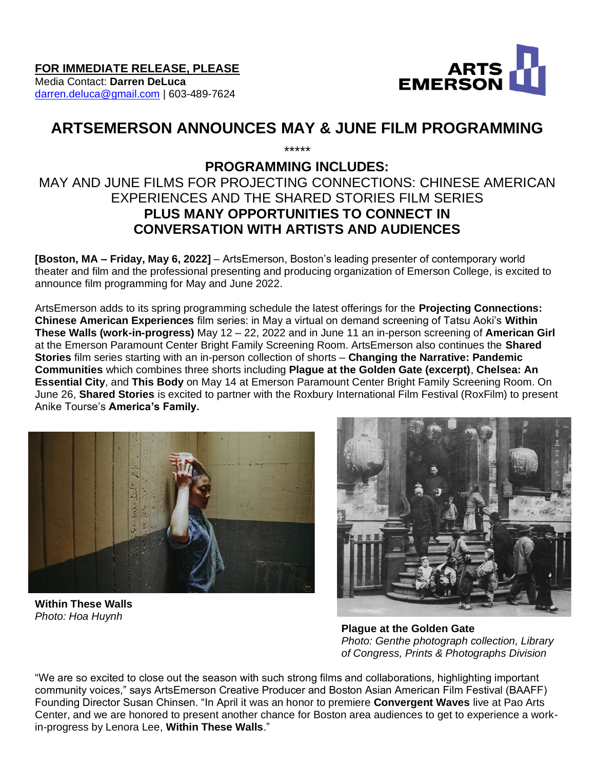

# [darren.deluca@gmail.com](mailto:darren.deluca@gmail.com) | 603-489-7624

# **ARTSEMERSON ANNOUNCES MAY & JUNE FILM PROGRAMMING** \*\*\*\*\*

# **PROGRAMMING INCLUDES:**

# MAY AND JUNE FILMS FOR PROJECTING CONNECTIONS: CHINESE AMERICAN EXPERIENCES AND THE SHARED STORIES FILM SERIES **PLUS MANY OPPORTUNITIES TO CONNECT IN CONVERSATION WITH ARTISTS AND AUDIENCES**

**[Boston, MA – Friday, May 6, 2022]** – ArtsEmerson, Boston's leading presenter of contemporary world theater and film and the professional presenting and producing organization of Emerson College, is excited to announce film programming for May and June 2022.

ArtsEmerson adds to its spring programming schedule the latest offerings for the **Projecting Connections: Chinese American Experiences** film series: in May a virtual on demand screening of Tatsu Aoki's **Within These Walls (work-in-progress)** May 12 – 22, 2022 and in June 11 an in-person screening of **American Girl** at the Emerson Paramount Center Bright Family Screening Room. ArtsEmerson also continues the **Shared Stories** film series starting with an in-person collection of shorts – **Changing the Narrative: Pandemic Communities** which combines three shorts including **Plague at the Golden Gate (excerpt)**, **Chelsea: An Essential City**, and **This Body** on May 14 at Emerson Paramount Center Bright Family Screening Room. On June 26, **Shared Stories** is excited to partner with the Roxbury International Film Festival (RoxFilm) to present Anike Tourse's **America's Family.**



**Within These Walls**  *Photo: Hoa Huynh*



 **Plague at the Golden Gate** *Photo: Genthe photograph collection, Library of Congress, Prints & Photographs Division*

"We are so excited to close out the season with such strong films and collaborations, highlighting important community voices," says ArtsEmerson Creative Producer and Boston Asian American Film Festival (BAAFF) Founding Director Susan Chinsen. "In April it was an honor to premiere **Convergent Waves** live at Pao Arts Center, and we are honored to present another chance for Boston area audiences to get to experience a workin-progress by Lenora Lee, **Within These Walls**."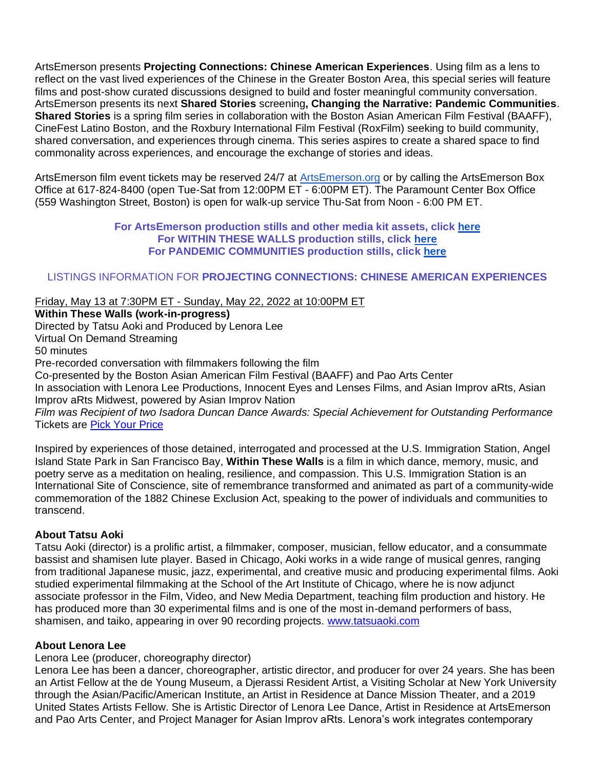ArtsEmerson presents **Projecting Connections: Chinese American Experiences**. Using film as a lens to reflect on the vast lived experiences of the Chinese in the Greater Boston Area, this special series will feature films and post-show curated discussions designed to build and foster meaningful community conversation. ArtsEmerson presents its next **Shared Stories** screening**, Changing the Narrative: Pandemic Communities**. **Shared Stories** is a spring film series in collaboration with the Boston Asian American Film Festival (BAAFF), CineFest Latino Boston, and the Roxbury International Film Festival (RoxFilm) seeking to build community, shared conversation, and experiences through cinema. This series aspires to create a shared space to find commonality across experiences, and encourage the exchange of stories and ideas.

ArtsEmerson film event tickets may be reserved 24/7 at [ArtsEmerson.org](http://www.artsemerson.org/) or by calling the ArtsEmerson Box Office at 617-824-8400 (open Tue-Sat from 12:00PM ET - 6:00PM ET). The Paramount Center Box Office (559 Washington Street, Boston) is open for walk-up service Thu-Sat from Noon - 6:00 PM ET.

#### **For ArtsEmerson production stills and other media kit assets, click [here](https://tickets.artsemerson.org/Online/default.asp?BOparam::WScontent::loadArticle::permalink=mediakit&BOparam::WScontent::loadArticle::context_id=) For WITHIN THESE WALLS production stills, click [here](https://emerson.box.com/s/gk3fmrnrfq32agqgq11zou12v6dqr73i) For PANDEMIC COMMUNITIES production stills, click [here](https://emerson.box.com/s/g0aaav2nmniq0d94umzpl9o4smqsetna)**

# LISTINGS INFORMATION FOR **PROJECTING CONNECTIONS: CHINESE AMERICAN EXPERIENCES**

#### Friday, May 13 at 7:30PM ET - Sunday, May 22, 2022 at 10:00PM ET

**Within These Walls (work-in-progress)** Directed by Tatsu Aoki and Produced by Lenora Lee Virtual On Demand Streaming 50 minutes Pre-recorded conversation with filmmakers following the film Co-presented by the Boston Asian American Film Festival (BAAFF) and Pao Arts Center In association with Lenora Lee Productions, Innocent Eyes and Lenses Films, and Asian Improv aRts, Asian Improv aRts Midwest, powered by Asian Improv Nation *Film was Recipient of two Isadora Duncan Dance Awards: Special Achievement for Outstanding Performance* Tickets are [Pick Your Price](https://artsemerson.org/events/within-these-walls/) Inspired by experiences of those detained, interrogated and processed at the U.S. Immigration Station, Angel

Island State Park in San Francisco Bay, **Within These Walls** is a film in which dance, memory, music, and poetry serve as a meditation on healing, resilience, and compassion. This U.S. Immigration Station is an International Site of Conscience, site of remembrance transformed and animated as part of a community-wide commemoration of the 1882 Chinese Exclusion Act, speaking to the power of individuals and communities to transcend.

# **About Tatsu Aoki**

Tatsu Aoki (director) is a prolific artist, a filmmaker, composer, musician, fellow educator, and a consummate bassist and shamisen lute player. Based in Chicago, Aoki works in a wide range of musical genres, ranging from traditional Japanese music, jazz, experimental, and creative music and producing experimental films. Aoki studied experimental filmmaking at the School of the Art Institute of Chicago, where he is now adjunct associate professor in the Film, Video, and New Media Department, teaching film production and history. He has produced more than 30 experimental films and is one of the most in-demand performers of bass, shamisen, and taiko, appearing in over 90 recording projects. [www.tatsuaoki.com](http://www.tatsuaoki.com/)

#### **About Lenora Lee**

Lenora Lee (producer, choreography director)

Lenora Lee has been a dancer, choreographer, artistic director, and producer for over 24 years. She has been an Artist Fellow at the de Young Museum, a Djerassi Resident Artist, a Visiting Scholar at New York University through the Asian/Pacific/American Institute, an Artist in Residence at Dance Mission Theater, and a 2019 United States Artists Fellow. She is Artistic Director of Lenora Lee Dance, Artist in Residence at ArtsEmerson and Pao Arts Center, and Project Manager for Asian Improv aRts. Lenora's work integrates contemporary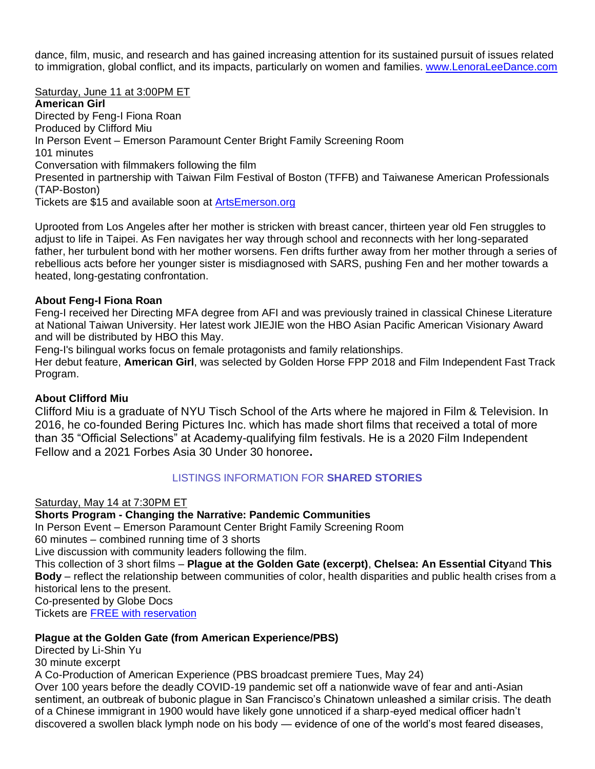dance, film, music, and research and has gained increasing attention for its sustained pursuit of issues related to immigration, global conflict, and its impacts, particularly on women and families. [www.LenoraLeeDance.com](http://www.lenoraleedance.com/)

Saturday, June 11 at 3:00PM ET

**American Girl** Directed by Feng-I Fiona Roan Produced by Clifford Miu In Person Event – Emerson Paramount Center Bright Family Screening Room 101 minutes Conversation with filmmakers following the film Presented in partnership with Taiwan Film Festival of Boston (TFFB) and Taiwanese American Professionals (TAP-Boston) Tickets are \$15 and available soon at [ArtsEmerson.org](http://artsemerson.org/)

Uprooted from Los Angeles after her mother is stricken with breast cancer, thirteen year old Fen struggles to adjust to life in Taipei. As Fen navigates her way through school and reconnects with her long-separated father, her turbulent bond with her mother worsens. Fen drifts further away from her mother through a series of rebellious acts before her younger sister is misdiagnosed with SARS, pushing Fen and her mother towards a heated, long-gestating confrontation.

# **About Feng-I Fiona Roan**

Feng-I received her Directing MFA degree from AFI and was previously trained in classical Chinese Literature at National Taiwan University. Her latest work JIEJIE won the HBO Asian Pacific American Visionary Award and will be distributed by HBO this May.

Feng-I's bilingual works focus on female protagonists and family relationships.

Her debut feature, **American Girl**, was selected by Golden Horse FPP 2018 and Film Independent Fast Track Program.

# **About Clifford Miu**

Clifford Miu is a graduate of NYU Tisch School of the Arts where he majored in Film & Television. In 2016, he co-founded Bering Pictures Inc. which has made short films that received a total of more than 35 "Official Selections" at Academy-qualifying film festivals. He is a 2020 Film Independent Fellow and a 2021 Forbes Asia 30 Under 30 honoree**.**

# LISTINGS INFORMATION FOR **SHARED STORIES**

Saturday, May 14 at 7:30PM ET

**Shorts Program - Changing the Narrative: Pandemic Communities**  In Person Event – Emerson Paramount Center Bright Family Screening Room 60 minutes – combined running time of 3 shorts Live discussion with community leaders following the film. This collection of 3 short films – **Plague at the Golden Gate (excerpt)**, **Chelsea: An Essential City**and **This Body** – reflect the relationship between communities of color, health disparities and public health crises from a historical lens to the present. Co-presented by Globe Docs Tickets are FREE [with reservation](https://artsemerson.org/events/changing-the-narrative/)

# **Plague at the Golden Gate (from American Experience/PBS)**

Directed by Li-Shin Yu 30 minute excerpt

A Co-Production of American Experience (PBS broadcast premiere Tues, May 24)

Over 100 years before the deadly COVID-19 pandemic set off a nationwide wave of fear and anti-Asian sentiment, an outbreak of bubonic plague in San Francisco's Chinatown unleashed a similar crisis. The death of a Chinese immigrant in 1900 would have likely gone unnoticed if a sharp-eyed medical officer hadn't discovered a swollen black lymph node on his body — evidence of one of the world's most feared diseases,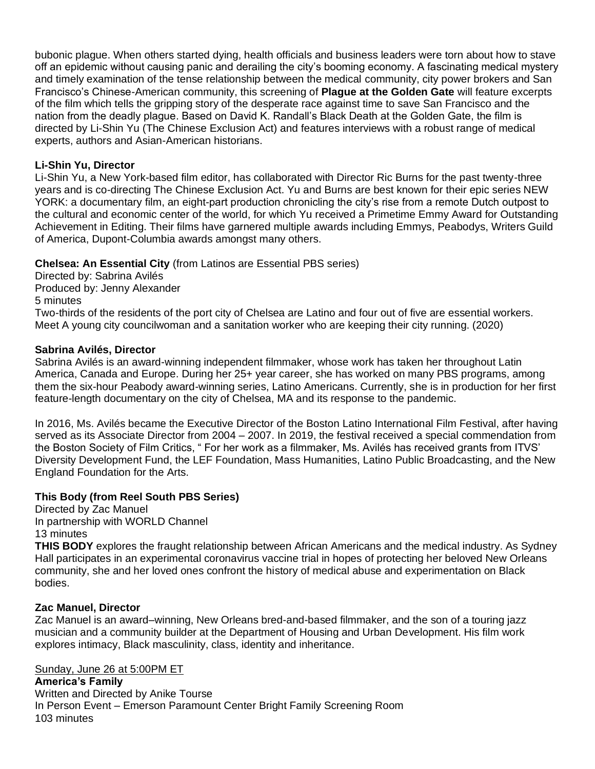bubonic plague. When others started dying, health officials and business leaders were torn about how to stave off an epidemic without causing panic and derailing the city's booming economy. A fascinating medical mystery and timely examination of the tense relationship between the medical community, city power brokers and San Francisco's Chinese-American community, this screening of **Plague at the Golden Gate** will feature excerpts of the film which tells the gripping story of the desperate race against time to save San Francisco and the nation from the deadly plague. Based on David K. Randall's Black Death at the Golden Gate, the film is directed by Li-Shin Yu (The Chinese Exclusion Act) and features interviews with a robust range of medical experts, authors and Asian-American historians.

# **Li-Shin Yu, Director**

Li-Shin Yu, a New York-based film editor, has collaborated with Director Ric Burns for the past twenty-three years and is co-directing The Chinese Exclusion Act. Yu and Burns are best known for their epic series NEW YORK: a documentary film, an eight-part production chronicling the city's rise from a remote Dutch outpost to the cultural and economic center of the world, for which Yu received a Primetime Emmy Award for Outstanding Achievement in Editing. Their films have garnered multiple awards including Emmys, Peabodys, Writers Guild of America, Dupont-Columbia awards amongst many others.

# **Chelsea: An Essential City** (from Latinos are Essential PBS series)

Directed by: Sabrina Avilés Produced by: Jenny Alexander 5 minutes Two-thirds of the residents of the port city of Chelsea are Latino and four out of five are essential workers. Meet A young city councilwoman and a sanitation worker who are keeping their city running. (2020)

#### **Sabrina Avilés, Director**

Sabrina Avilés is an award-winning independent filmmaker, whose work has taken her throughout Latin America, Canada and Europe. During her 25+ year career, she has worked on many PBS programs, among them the six-hour Peabody award-winning series, Latino Americans. Currently, she is in production for her first feature-length documentary on the city of Chelsea, MA and its response to the pandemic.

In 2016, Ms. Avilés became the Executive Director of the Boston Latino International Film Festival, after having served as its Associate Director from 2004 – 2007. In 2019, the festival received a special commendation from the Boston Society of Film Critics, " For her work as a filmmaker, Ms. Avilés has received grants from ITVS' Diversity Development Fund, the LEF Foundation, Mass Humanities, Latino Public Broadcasting, and the New England Foundation for the Arts.

# **This Body (from Reel South PBS Series)**

Directed by Zac Manuel In partnership with WORLD Channel 13 minutes

**THIS BODY** explores the fraught relationship between African Americans and the medical industry. As Sydney Hall participates in an experimental coronavirus vaccine trial in hopes of protecting her beloved New Orleans community, she and her loved ones confront the history of medical abuse and experimentation on Black bodies.

#### **Zac Manuel, Director**

Zac Manuel is an award–winning, New Orleans bred-and-based filmmaker, and the son of a touring jazz musician and a community builder at the Department of Housing and Urban Development. His film work explores intimacy, Black masculinity, class, identity and inheritance.

#### Sunday, June 26 at 5:00PM ET

**America's Family** Written and Directed by Anike Tourse In Person Event – Emerson Paramount Center Bright Family Screening Room 103 minutes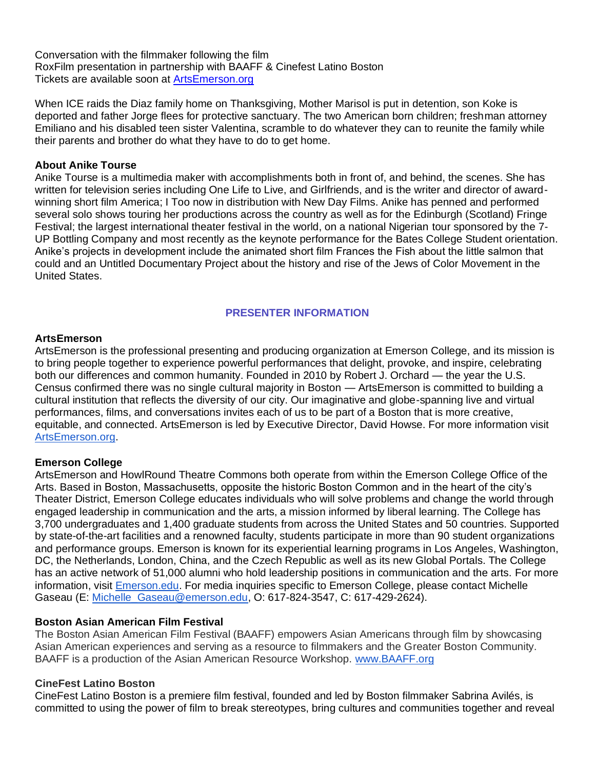Conversation with the filmmaker following the film RoxFilm presentation in partnership with BAAFF & Cinefest Latino Boston Tickets are available soon at [ArtsEmerson.org](http://artsemerson.org/)

When ICE raids the Diaz family home on Thanksgiving, Mother Marisol is put in detention, son Koke is deported and father Jorge flees for protective sanctuary. The two American born children; freshman attorney Emiliano and his disabled teen sister Valentina, scramble to do whatever they can to reunite the family while their parents and brother do what they have to do to get home.

#### **About Anike Tourse**

Anike Tourse is a multimedia maker with accomplishments both in front of, and behind, the scenes. She has written for television series including One Life to Live, and Girlfriends, and is the writer and director of awardwinning short film America; I Too now in distribution with New Day Films. Anike has penned and performed several solo shows touring her productions across the country as well as for the Edinburgh (Scotland) Fringe Festival; the largest international theater festival in the world, on a national Nigerian tour sponsored by the 7- UP Bottling Company and most recently as the keynote performance for the Bates College Student orientation. Anike's projects in development include the animated short film Frances the Fish about the little salmon that could and an Untitled Documentary Project about the history and rise of the Jews of Color Movement in the United States.

# **PRESENTER INFORMATION**

#### **ArtsEmerson**

ArtsEmerson is the professional presenting and producing organization at Emerson College, and its mission is to bring people together to experience powerful performances that delight, provoke, and inspire, celebrating both our differences and common humanity. Founded in 2010 by Robert J. Orchard — the year the U.S. Census confirmed there was no single cultural majority in Boston — ArtsEmerson is committed to building a cultural institution that reflects the diversity of our city. Our imaginative and globe-spanning live and virtual performances, films, and conversations invites each of us to be part of a Boston that is more creative, equitable, and connected. ArtsEmerson is led by Executive Director, David Howse. For more information visit [ArtsEmerson.org.](http://artsemerson.org/)

# **Emerson College**

ArtsEmerson and HowlRound Theatre Commons both operate from within the Emerson College Office of the Arts. Based in Boston, Massachusetts, opposite the historic Boston Common and in the heart of the city's Theater District, Emerson College educates individuals who will solve problems and change the world through engaged leadership in communication and the arts, a mission informed by liberal learning. The College has 3,700 undergraduates and 1,400 graduate students from across the United States and 50 countries. Supported by state-of-the-art facilities and a renowned faculty, students participate in more than 90 student organizations and performance groups. Emerson is known for its experiential learning programs in Los Angeles, Washington, DC, the Netherlands, London, China, and the Czech Republic as well as its new Global Portals. The College has an active network of 51,000 alumni who hold leadership positions in communication and the arts. For more information, visit [Emerson.edu.](http://www.emerson.edu/) For media inquiries specific to Emerson College, please contact Michelle Gaseau (E: [Michelle\\_Gaseau@emerson.edu,](mailto:Michelle_Gaseau@emerson.edu) O: 617-824-3547, C: 617-429-2624).

# **Boston Asian American Film Festival**

The Boston Asian American Film Festival (BAAFF) empowers Asian Americans through film by showcasing Asian American experiences and serving as a resource to filmmakers and the Greater Boston Community. BAAFF is a production of the Asian American Resource Workshop. [www.BAAFF.org](http://www.baaff.org/)

#### **CineFest Latino Boston**

CineFest Latino Boston is a premiere film festival, founded and led by Boston filmmaker Sabrina Avilés, is committed to using the power of film to break stereotypes, bring cultures and communities together and reveal